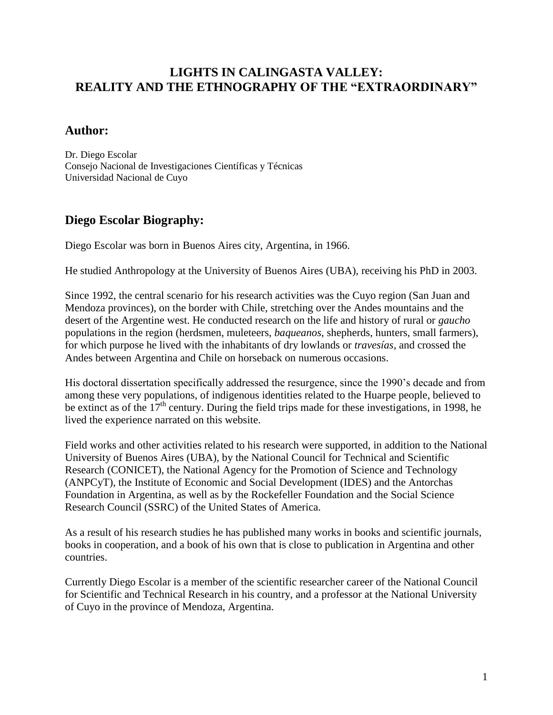## **LIGHTS IN CALINGASTA VALLEY: REALITY AND THE ETHNOGRAPHY OF THE "EXTRAORDINARY"**

## **Author:**

Dr. Diego Escolar Consejo Nacional de Investigaciones Científicas y Técnicas Universidad Nacional de Cuyo

## **Diego Escolar Biography:**

Diego Escolar was born in Buenos Aires city, Argentina, in 1966.

He studied Anthropology at the University of Buenos Aires (UBA), receiving his PhD in 2003.

Since 1992, the central scenario for his research activities was the Cuyo region (San Juan and Mendoza provinces), on the border with Chile, stretching over the Andes mountains and the desert of the Argentine west. He conducted research on the life and history of rural or *gaucho* populations in the region (herdsmen, muleteers, *baqueanos*, shepherds, hunters, small farmers), for which purpose he lived with the inhabitants of dry lowlands or *travesías*, and crossed the Andes between Argentina and Chile on horseback on numerous occasions.

His doctoral dissertation specifically addressed the resurgence, since the 1990's decade and from among these very populations, of indigenous identities related to the Huarpe people, believed to be extinct as of the  $17<sup>th</sup>$  century. During the field trips made for these investigations, in 1998, he lived the experience narrated on this website.

Field works and other activities related to his research were supported, in addition to the National University of Buenos Aires (UBA), by the National Council for Technical and Scientific Research (CONICET), the National Agency for the Promotion of Science and Technology (ANPCyT), the Institute of Economic and Social Development (IDES) and the Antorchas Foundation in Argentina, as well as by the Rockefeller Foundation and the Social Science Research Council (SSRC) of the United States of America.

As a result of his research studies he has published many works in books and scientific journals, books in cooperation, and a book of his own that is close to publication in Argentina and other countries.

Currently Diego Escolar is a member of the scientific researcher career of the National Council for Scientific and Technical Research in his country, and a professor at the National University of Cuyo in the province of Mendoza, Argentina.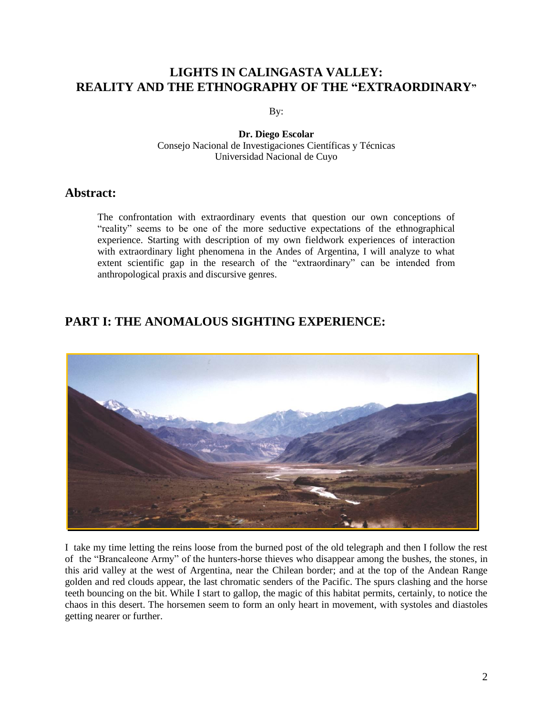## **LIGHTS IN CALINGASTA VALLEY: REALITY AND THE ETHNOGRAPHY OF THE "EXTRAORDINARY"**

By:

**Dr. Diego Escolar** Consejo Nacional de Investigaciones Científicas y Técnicas Universidad Nacional de Cuyo

### **Abstract:**

The confrontation with extraordinary events that question our own conceptions of "reality" seems to be one of the more seductive expectations of the ethnographical experience. Starting with description of my own fieldwork experiences of interaction with extraordinary light phenomena in the Andes of Argentina, I will analyze to what extent scientific gap in the research of the "extraordinary" can be intended from anthropological praxis and discursive genres.

## **PART I: THE ANOMALOUS SIGHTING EXPERIENCE:**



I take my time letting the reins loose from the burned post of the old telegraph and then I follow the rest of the "Brancaleone Army" of the hunters-horse thieves who disappear among the bushes, the stones, in this arid valley at the west of Argentina, near the Chilean border; and at the top of the Andean Range golden and red clouds appear, the last chromatic senders of the Pacific. The spurs clashing and the horse teeth bouncing on the bit. While I start to gallop, the magic of this habitat permits, certainly, to notice the chaos in this desert. The horsemen seem to form an only heart in movement, with systoles and diastoles getting nearer or further.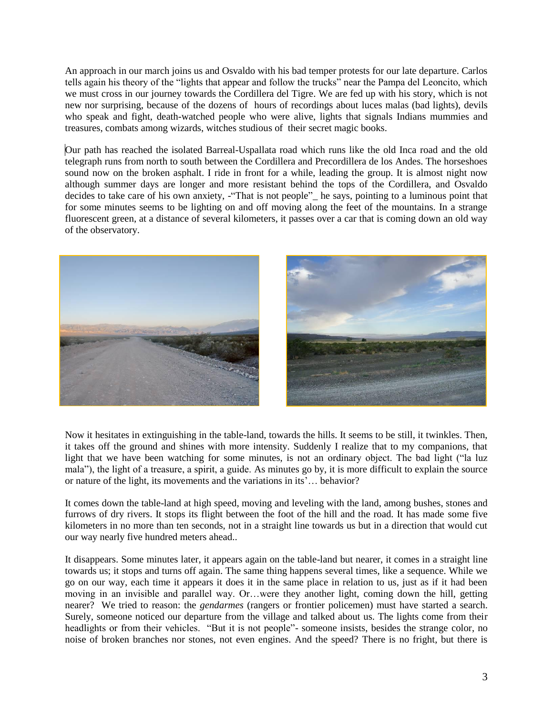An approach in our march joins us and Osvaldo with his bad temper protests for our late departure. Carlos tells again his theory of the "lights that appear and follow the trucks" near the Pampa del Leoncito, which we must cross in our journey towards the Cordillera del Tigre. We are fed up with his story, which is not new nor surprising, because of the dozens of hours of recordings about luces malas (bad lights), devils who speak and fight, death-watched people who were alive, lights that signals Indians mummies and treasures, combats among wizards, witches studious of their secret magic books.

Our path has reached the isolated Barreal-Uspallata road which runs like the old Inca road and the old telegraph runs from north to south between the Cordillera and Precordillera de los Andes. The horseshoes sound now on the broken asphalt. I ride in front for a while, leading the group. It is almost night now although summer days are longer and more resistant behind the tops of the Cordillera, and Osvaldo decides to take care of his own anxiety, -"That is not people" he says, pointing to a luminous point that for some minutes seems to be lighting on and off moving along the feet of the mountains. In a strange fluorescent green, at a distance of several kilometers, it passes over a car that is coming down an old way of the observatory.



Now it hesitates in extinguishing in the table-land, towards the hills. It seems to be still, it twinkles. Then, it takes off the ground and shines with more intensity. Suddenly I realize that to my companions, that light that we have been watching for some minutes, is not an ordinary object. The bad light ("la luz mala‖), the light of a treasure, a spirit, a guide. As minutes go by, it is more difficult to explain the source or nature of the light, its movements and the variations in its'… behavior?

It comes down the table-land at high speed, moving and leveling with the land, among bushes, stones and furrows of dry rivers. It stops its flight between the foot of the hill and the road. It has made some five kilometers in no more than ten seconds, not in a straight line towards us but in a direction that would cut our way nearly five hundred meters ahead..

It disappears. Some minutes later, it appears again on the table-land but nearer, it comes in a straight line towards us; it stops and turns off again. The same thing happens several times, like a sequence. While we go on our way, each time it appears it does it in the same place in relation to us, just as if it had been moving in an invisible and parallel way. Or…were they another light, coming down the hill, getting nearer? We tried to reason: the *gendarmes* (rangers or frontier policemen) must have started a search. Surely, someone noticed our departure from the village and talked about us. The lights come from their headlights or from their vehicles. "But it is not people"- someone insists, besides the strange color, no noise of broken branches nor stones, not even engines. And the speed? There is no fright, but there is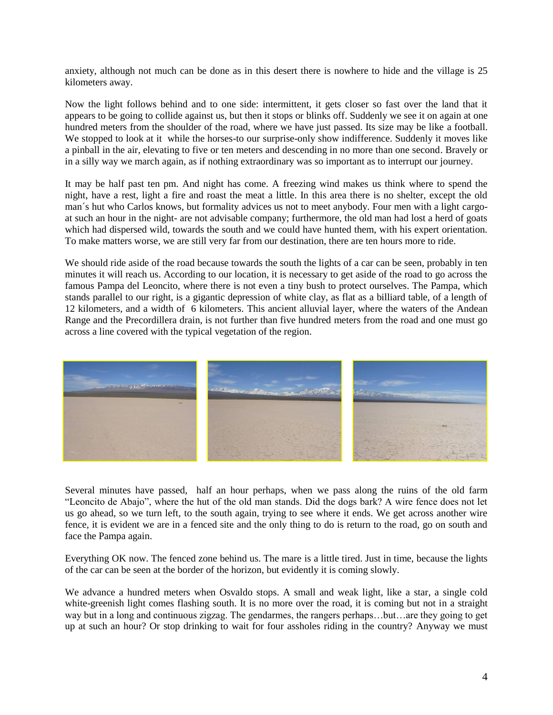anxiety, although not much can be done as in this desert there is nowhere to hide and the village is 25 kilometers away.

Now the light follows behind and to one side: intermittent, it gets closer so fast over the land that it appears to be going to collide against us, but then it stops or blinks off. Suddenly we see it on again at one hundred meters from the shoulder of the road, where we have just passed. Its size may be like a football. We stopped to look at it while the horses-to our surprise-only show indifference. Suddenly it moves like a pinball in the air, elevating to five or ten meters and descending in no more than one second. Bravely or in a silly way we march again, as if nothing extraordinary was so important as to interrupt our journey.

It may be half past ten pm. And night has come. A freezing wind makes us think where to spend the night, have a rest, light a fire and roast the meat a little. In this area there is no shelter, except the old man´s hut who Carlos knows, but formality advices us not to meet anybody. Four men with a light cargoat such an hour in the night- are not advisable company; furthermore, the old man had lost a herd of goats which had dispersed wild, towards the south and we could have hunted them, with his expert orientation. To make matters worse, we are still very far from our destination, there are ten hours more to ride.

We should ride aside of the road because towards the south the lights of a car can be seen, probably in ten minutes it will reach us. According to our location, it is necessary to get aside of the road to go across the famous Pampa del Leoncito, where there is not even a tiny bush to protect ourselves. The Pampa, which stands parallel to our right, is a gigantic depression of white clay, as flat as a billiard table, of a length of 12 kilometers, and a width of 6 kilometers. This ancient alluvial layer, where the waters of the Andean Range and the Precordillera drain, is not further than five hundred meters from the road and one must go across a line covered with the typical vegetation of the region.



Several minutes have passed, half an hour perhaps, when we pass along the ruins of the old farm "Leoncito de Abajo", where the hut of the old man stands. Did the dogs bark? A wire fence does not let us go ahead, so we turn left, to the south again, trying to see where it ends. We get across another wire fence, it is evident we are in a fenced site and the only thing to do is return to the road, go on south and face the Pampa again.

Everything OK now. The fenced zone behind us. The mare is a little tired. Just in time, because the lights of the car can be seen at the border of the horizon, but evidently it is coming slowly.

We advance a hundred meters when Osvaldo stops. A small and weak light, like a star, a single cold white-greenish light comes flashing south. It is no more over the road, it is coming but not in a straight way but in a long and continuous zigzag. The gendarmes, the rangers perhaps…but…are they going to get up at such an hour? Or stop drinking to wait for four assholes riding in the country? Anyway we must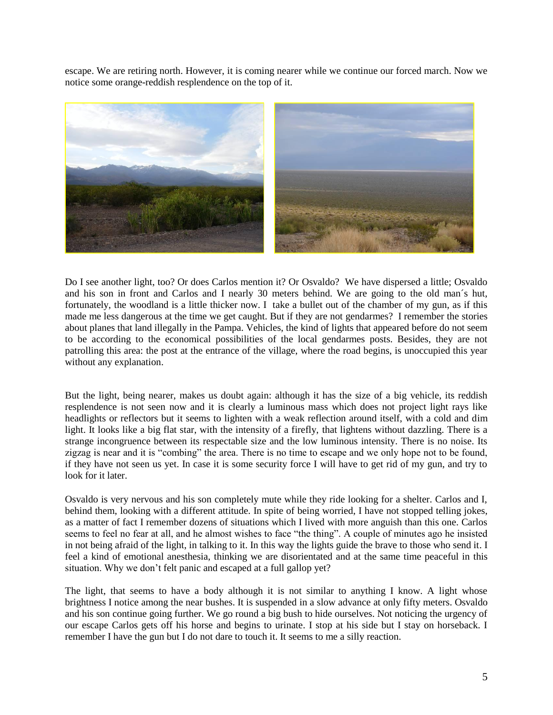escape. We are retiring north. However, it is coming nearer while we continue our forced march. Now we notice some orange-reddish resplendence on the top of it.



Do I see another light, too? Or does Carlos mention it? Or Osvaldo? We have dispersed a little; Osvaldo and his son in front and Carlos and I nearly 30 meters behind. We are going to the old man´s hut, fortunately, the woodland is a little thicker now. I take a bullet out of the chamber of my gun, as if this made me less dangerous at the time we get caught. But if they are not gendarmes? I remember the stories about planes that land illegally in the Pampa. Vehicles, the kind of lights that appeared before do not seem to be according to the economical possibilities of the local gendarmes posts. Besides, they are not patrolling this area: the post at the entrance of the village, where the road begins, is unoccupied this year without any explanation.

But the light, being nearer, makes us doubt again: although it has the size of a big vehicle, its reddish resplendence is not seen now and it is clearly a luminous mass which does not project light rays like headlights or reflectors but it seems to lighten with a weak reflection around itself, with a cold and dim light. It looks like a big flat star, with the intensity of a firefly, that lightens without dazzling. There is a strange incongruence between its respectable size and the low luminous intensity. There is no noise. Its zigzag is near and it is "combing" the area. There is no time to escape and we only hope not to be found, if they have not seen us yet. In case it is some security force I will have to get rid of my gun, and try to look for it later.

Osvaldo is very nervous and his son completely mute while they ride looking for a shelter. Carlos and I, behind them, looking with a different attitude. In spite of being worried, I have not stopped telling jokes, as a matter of fact I remember dozens of situations which I lived with more anguish than this one. Carlos seems to feel no fear at all, and he almost wishes to face "the thing". A couple of minutes ago he insisted in not being afraid of the light, in talking to it. In this way the lights guide the brave to those who send it. I feel a kind of emotional anesthesia, thinking we are disorientated and at the same time peaceful in this situation. Why we don't felt panic and escaped at a full gallop yet?

The light, that seems to have a body although it is not similar to anything I know. A light whose brightness I notice among the near bushes. It is suspended in a slow advance at only fifty meters. Osvaldo and his son continue going further. We go round a big bush to hide ourselves. Not noticing the urgency of our escape Carlos gets off his horse and begins to urinate. I stop at his side but I stay on horseback. I remember I have the gun but I do not dare to touch it. It seems to me a silly reaction.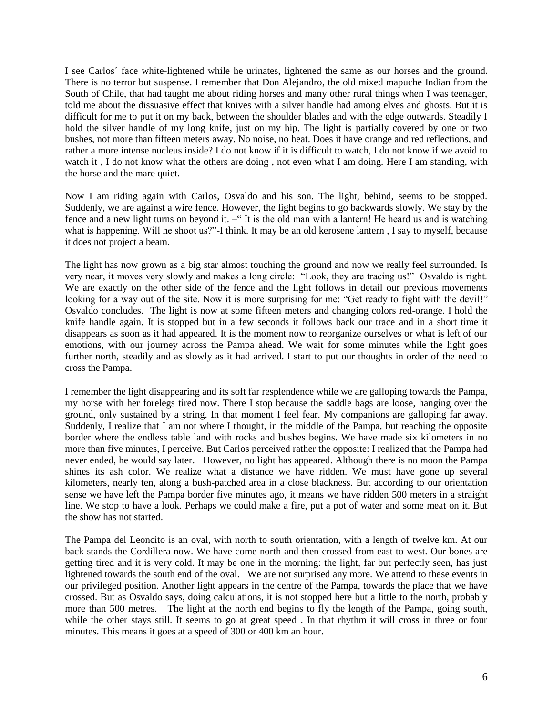I see Carlos´ face white-lightened while he urinates, lightened the same as our horses and the ground. There is no terror but suspense. I remember that Don Alejandro, the old mixed mapuche Indian from the South of Chile, that had taught me about riding horses and many other rural things when I was teenager, told me about the dissuasive effect that knives with a silver handle had among elves and ghosts. But it is difficult for me to put it on my back, between the shoulder blades and with the edge outwards. Steadily I hold the silver handle of my long knife, just on my hip. The light is partially covered by one or two bushes, not more than fifteen meters away. No noise, no heat. Does it have orange and red reflections, and rather a more intense nucleus inside? I do not know if it is difficult to watch, I do not know if we avoid to watch it , I do not know what the others are doing, not even what I am doing. Here I am standing, with the horse and the mare quiet.

Now I am riding again with Carlos, Osvaldo and his son. The light, behind, seems to be stopped. Suddenly, we are against a wire fence. However, the light begins to go backwards slowly. We stay by the fence and a new light turns on beyond it. –"It is the old man with a lantern! He heard us and is watching what is happening. Will he shoot us?"-I think. It may be an old kerosene lantern, I say to myself, because it does not project a beam.

The light has now grown as a big star almost touching the ground and now we really feel surrounded. Is very near, it moves very slowly and makes a long circle: "Look, they are tracing us!" Osvaldo is right. We are exactly on the other side of the fence and the light follows in detail our previous movements looking for a way out of the site. Now it is more surprising for me: "Get ready to fight with the devil!" Osvaldo concludes. The light is now at some fifteen meters and changing colors red-orange. I hold the knife handle again. It is stopped but in a few seconds it follows back our trace and in a short time it disappears as soon as it had appeared. It is the moment now to reorganize ourselves or what is left of our emotions, with our journey across the Pampa ahead. We wait for some minutes while the light goes further north, steadily and as slowly as it had arrived. I start to put our thoughts in order of the need to cross the Pampa.

I remember the light disappearing and its soft far resplendence while we are galloping towards the Pampa, my horse with her forelegs tired now. There I stop because the saddle bags are loose, hanging over the ground, only sustained by a string. In that moment I feel fear. My companions are galloping far away. Suddenly, I realize that I am not where I thought, in the middle of the Pampa, but reaching the opposite border where the endless table land with rocks and bushes begins. We have made six kilometers in no more than five minutes, I perceive. But Carlos perceived rather the opposite: I realized that the Pampa had never ended, he would say later. However, no light has appeared. Although there is no moon the Pampa shines its ash color. We realize what a distance we have ridden. We must have gone up several kilometers, nearly ten, along a bush-patched area in a close blackness. But according to our orientation sense we have left the Pampa border five minutes ago, it means we have ridden 500 meters in a straight line. We stop to have a look. Perhaps we could make a fire, put a pot of water and some meat on it. But the show has not started.

The Pampa del Leoncito is an oval, with north to south orientation, with a length of twelve km. At our back stands the Cordillera now. We have come north and then crossed from east to west. Our bones are getting tired and it is very cold. It may be one in the morning: the light, far but perfectly seen, has just lightened towards the south end of the oval. We are not surprised any more. We attend to these events in our privileged position. Another light appears in the centre of the Pampa, towards the place that we have crossed. But as Osvaldo says, doing calculations, it is not stopped here but a little to the north, probably more than 500 metres. The light at the north end begins to fly the length of the Pampa, going south, while the other stays still. It seems to go at great speed. In that rhythm it will cross in three or four minutes. This means it goes at a speed of 300 or 400 km an hour.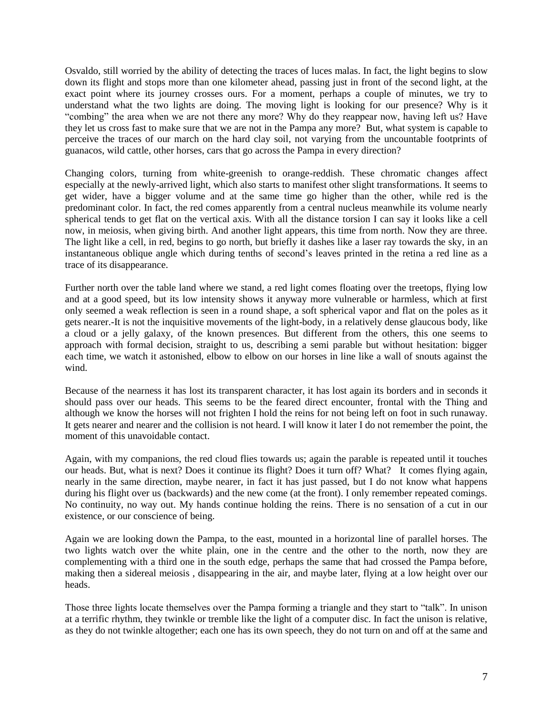Osvaldo, still worried by the ability of detecting the traces of luces malas. In fact, the light begins to slow down its flight and stops more than one kilometer ahead, passing just in front of the second light, at the exact point where its journey crosses ours. For a moment, perhaps a couple of minutes, we try to understand what the two lights are doing. The moving light is looking for our presence? Why is it ―combing‖ the area when we are not there any more? Why do they reappear now, having left us? Have they let us cross fast to make sure that we are not in the Pampa any more? But, what system is capable to perceive the traces of our march on the hard clay soil, not varying from the uncountable footprints of guanacos, wild cattle, other horses, cars that go across the Pampa in every direction?

Changing colors, turning from white-greenish to orange-reddish. These chromatic changes affect especially at the newly-arrived light, which also starts to manifest other slight transformations. It seems to get wider, have a bigger volume and at the same time go higher than the other, while red is the predominant color. In fact, the red comes apparently from a central nucleus meanwhile its volume nearly spherical tends to get flat on the vertical axis. With all the distance torsion I can say it looks like a cell now, in meiosis, when giving birth. And another light appears, this time from north. Now they are three. The light like a cell, in red, begins to go north, but briefly it dashes like a laser ray towards the sky, in an instantaneous oblique angle which during tenths of second's leaves printed in the retina a red line as a trace of its disappearance.

Further north over the table land where we stand, a red light comes floating over the treetops, flying low and at a good speed, but its low intensity shows it anyway more vulnerable or harmless, which at first only seemed a weak reflection is seen in a round shape, a soft spherical vapor and flat on the poles as it gets nearer.-It is not the inquisitive movements of the light-body, in a relatively dense glaucous body, like a cloud or a jelly galaxy, of the known presences. But different from the others, this one seems to approach with formal decision, straight to us, describing a semi parable but without hesitation: bigger each time, we watch it astonished, elbow to elbow on our horses in line like a wall of snouts against the wind.

Because of the nearness it has lost its transparent character, it has lost again its borders and in seconds it should pass over our heads. This seems to be the feared direct encounter, frontal with the Thing and although we know the horses will not frighten I hold the reins for not being left on foot in such runaway. It gets nearer and nearer and the collision is not heard. I will know it later I do not remember the point, the moment of this unavoidable contact.

Again, with my companions, the red cloud flies towards us; again the parable is repeated until it touches our heads. But, what is next? Does it continue its flight? Does it turn off? What? It comes flying again, nearly in the same direction, maybe nearer, in fact it has just passed, but I do not know what happens during his flight over us (backwards) and the new come (at the front). I only remember repeated comings. No continuity, no way out. My hands continue holding the reins. There is no sensation of a cut in our existence, or our conscience of being.

Again we are looking down the Pampa, to the east, mounted in a horizontal line of parallel horses. The two lights watch over the white plain, one in the centre and the other to the north, now they are complementing with a third one in the south edge, perhaps the same that had crossed the Pampa before, making then a sidereal meiosis , disappearing in the air, and maybe later, flying at a low height over our heads.

Those three lights locate themselves over the Pampa forming a triangle and they start to "talk". In unison at a terrific rhythm, they twinkle or tremble like the light of a computer disc. In fact the unison is relative, as they do not twinkle altogether; each one has its own speech, they do not turn on and off at the same and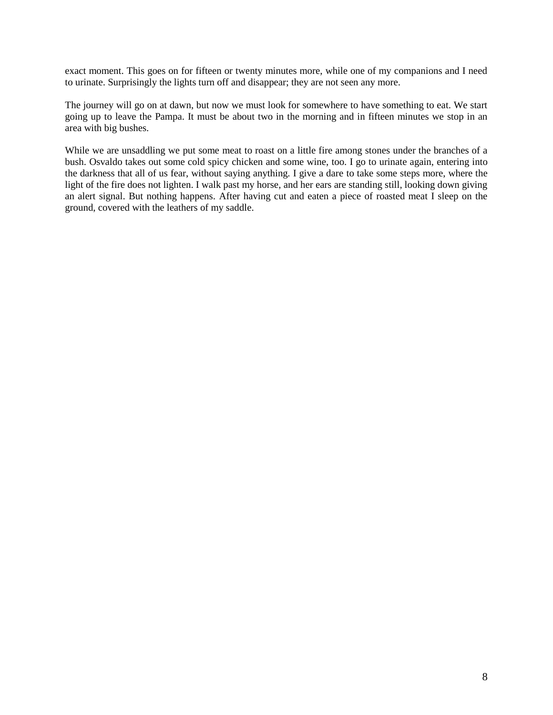exact moment. This goes on for fifteen or twenty minutes more, while one of my companions and I need to urinate. Surprisingly the lights turn off and disappear; they are not seen any more.

The journey will go on at dawn, but now we must look for somewhere to have something to eat. We start going up to leave the Pampa. It must be about two in the morning and in fifteen minutes we stop in an area with big bushes.

While we are unsaddling we put some meat to roast on a little fire among stones under the branches of a bush. Osvaldo takes out some cold spicy chicken and some wine, too. I go to urinate again, entering into the darkness that all of us fear, without saying anything. I give a dare to take some steps more, where the light of the fire does not lighten. I walk past my horse, and her ears are standing still, looking down giving an alert signal. But nothing happens. After having cut and eaten a piece of roasted meat I sleep on the ground, covered with the leathers of my saddle.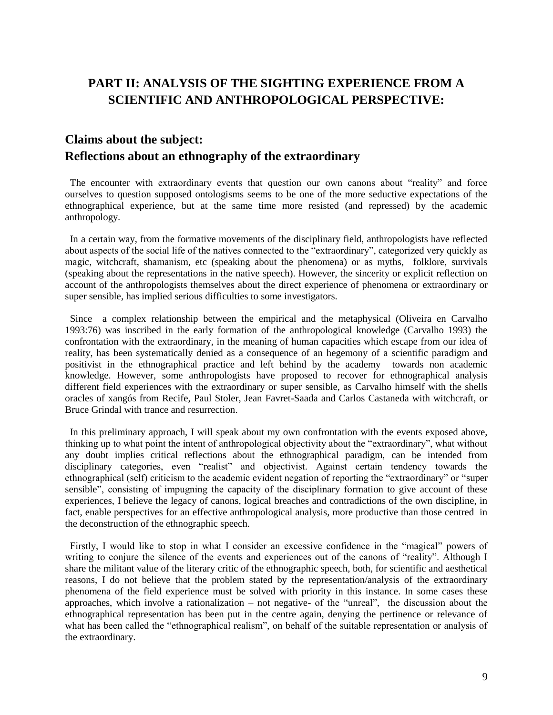# **PART II: ANALYSIS OF THE SIGHTING EXPERIENCE FROM A SCIENTIFIC AND ANTHROPOLOGICAL PERSPECTIVE:**

# **Claims about the subject: Reflections about an ethnography of the extraordinary**

The encounter with extraordinary events that question our own canons about "reality" and force ourselves to question supposed ontologisms seems to be one of the more seductive expectations of the ethnographical experience, but at the same time more resisted (and repressed) by the academic anthropology.

 In a certain way, from the formative movements of the disciplinary field, anthropologists have reflected about aspects of the social life of the natives connected to the "extraordinary", categorized very quickly as magic, witchcraft, shamanism, etc (speaking about the phenomena) or as myths, folklore, survivals (speaking about the representations in the native speech). However, the sincerity or explicit reflection on account of the anthropologists themselves about the direct experience of phenomena or extraordinary or super sensible, has implied serious difficulties to some investigators.

 Since a complex relationship between the empirical and the metaphysical (Oliveira en Carvalho 1993:76) was inscribed in the early formation of the anthropological knowledge (Carvalho 1993) the confrontation with the extraordinary, in the meaning of human capacities which escape from our idea of reality, has been systematically denied as a consequence of an hegemony of a scientific paradigm and positivist in the ethnographical practice and left behind by the academy towards non academic knowledge. However, some anthropologists have proposed to recover for ethnographical analysis different field experiences with the extraordinary or super sensible, as Carvalho himself with the shells oracles of xangós from Recife, Paul Stoler, Jean Favret-Saada and Carlos Castaneda with witchcraft, or Bruce Grindal with trance and resurrection.

 In this preliminary approach, I will speak about my own confrontation with the events exposed above, thinking up to what point the intent of anthropological objectivity about the "extraordinary", what without any doubt implies critical reflections about the ethnographical paradigm, can be intended from disciplinary categories, even "realist" and objectivist. Against certain tendency towards the ethnographical (self) criticism to the academic evident negation of reporting the "extraordinary" or "super sensible", consisting of impugning the capacity of the disciplinary formation to give account of these experiences, I believe the legacy of canons, logical breaches and contradictions of the own discipline, in fact, enable perspectives for an effective anthropological analysis, more productive than those centred in the deconstruction of the ethnographic speech.

Firstly, I would like to stop in what I consider an excessive confidence in the "magical" powers of writing to conjure the silence of the events and experiences out of the canons of "reality". Although I share the militant value of the literary critic of the ethnographic speech, both, for scientific and aesthetical reasons, I do not believe that the problem stated by the representation/analysis of the extraordinary phenomena of the field experience must be solved with priority in this instance. In some cases these approaches, which involve a rationalization – not negative- of the "unreal", the discussion about the ethnographical representation has been put in the centre again, denying the pertinence or relevance of what has been called the "ethnographical realism", on behalf of the suitable representation or analysis of the extraordinary.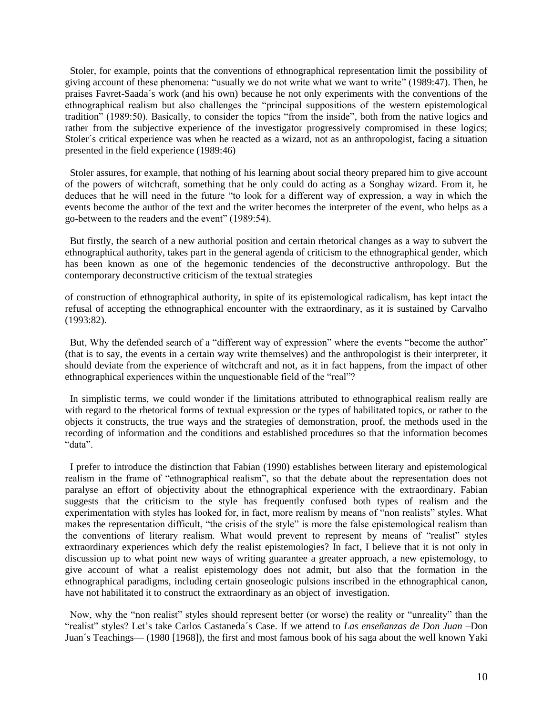Stoler, for example, points that the conventions of ethnographical representation limit the possibility of giving account of these phenomena: "usually we do not write what we want to write" (1989:47). Then, he praises Favret-Saada´s work (and his own) because he not only experiments with the conventions of the ethnographical realism but also challenges the "principal suppositions of the western epistemological tradition" (1989:50). Basically, to consider the topics "from the inside", both from the native logics and rather from the subjective experience of the investigator progressively compromised in these logics; Stoler´s critical experience was when he reacted as a wizard, not as an anthropologist, facing a situation presented in the field experience (1989:46)

 Stoler assures, for example, that nothing of his learning about social theory prepared him to give account of the powers of witchcraft, something that he only could do acting as a Songhay wizard. From it, he deduces that he will need in the future "to look for a different way of expression, a way in which the events become the author of the text and the writer becomes the interpreter of the event, who helps as a go-between to the readers and the event" (1989:54).

 But firstly, the search of a new authorial position and certain rhetorical changes as a way to subvert the ethnographical authority, takes part in the general agenda of criticism to the ethnographical gender, which has been known as one of the hegemonic tendencies of the deconstructive anthropology. But the contemporary deconstructive criticism of the textual strategies

of construction of ethnographical authority, in spite of its epistemological radicalism, has kept intact the refusal of accepting the ethnographical encounter with the extraordinary, as it is sustained by Carvalho (1993:82).

But, Why the defended search of a "different way of expression" where the events "become the author" (that is to say, the events in a certain way write themselves) and the anthropologist is their interpreter, it should deviate from the experience of witchcraft and not, as it in fact happens, from the impact of other ethnographical experiences within the unquestionable field of the "real"?

 In simplistic terms, we could wonder if the limitations attributed to ethnographical realism really are with regard to the rhetorical forms of textual expression or the types of habilitated topics, or rather to the objects it constructs, the true ways and the strategies of demonstration, proof, the methods used in the recording of information and the conditions and established procedures so that the information becomes "data".

 I prefer to introduce the distinction that Fabian (1990) establishes between literary and epistemological realism in the frame of "ethnographical realism", so that the debate about the representation does not paralyse an effort of objectivity about the ethnographical experience with the extraordinary. Fabian suggests that the criticism to the style has frequently confused both types of realism and the experimentation with styles has looked for, in fact, more realism by means of "non realists" styles. What makes the representation difficult, "the crisis of the style" is more the false epistemological realism than the conventions of literary realism. What would prevent to represent by means of "realist" styles extraordinary experiences which defy the realist epistemologies? In fact, I believe that it is not only in discussion up to what point new ways of writing guarantee a greater approach, a new epistemology, to give account of what a realist epistemology does not admit, but also that the formation in the ethnographical paradigms, including certain gnoseologic pulsions inscribed in the ethnographical canon, have not habilitated it to construct the extraordinary as an object of investigation.

Now, why the "non realist" styles should represent better (or worse) the reality or "unreality" than the ―realist‖ styles? Let's take Carlos Castaneda´s Case. If we attend to *Las enseñanzas de Don Juan* –Don Juan´s Teachings— (1980 [1968]), the first and most famous book of his saga about the well known Yaki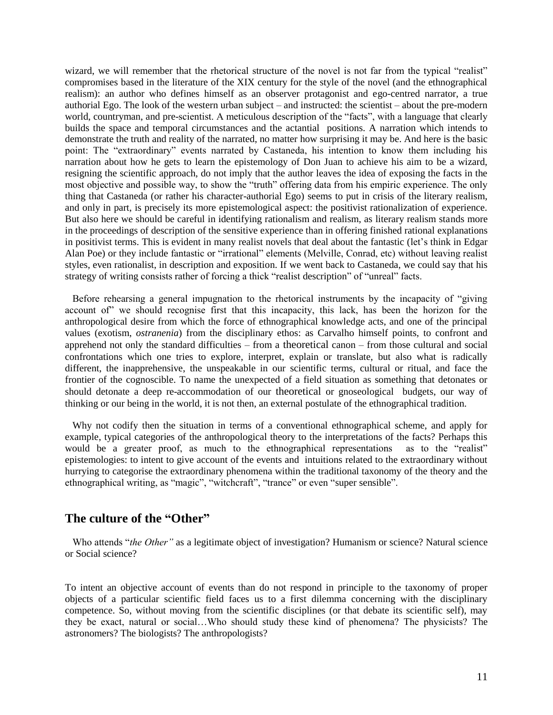wizard, we will remember that the rhetorical structure of the novel is not far from the typical "realist" compromises based in the literature of the XIX century for the style of the novel (and the ethnographical realism): an author who defines himself as an observer protagonist and ego-centred narrator, a true authorial Ego. The look of the western urban subject – and instructed: the scientist – about the pre-modern world, countryman, and pre-scientist. A meticulous description of the "facts", with a language that clearly builds the space and temporal circumstances and the actantial positions. A narration which intends to demonstrate the truth and reality of the narrated, no matter how surprising it may be. And here is the basic point: The "extraordinary" events narrated by Castaneda, his intention to know them including his narration about how he gets to learn the epistemology of Don Juan to achieve his aim to be a wizard, resigning the scientific approach, do not imply that the author leaves the idea of exposing the facts in the most objective and possible way, to show the "truth" offering data from his empiric experience. The only thing that Castaneda (or rather his character-authorial Ego) seems to put in crisis of the literary realism, and only in part, is precisely its more epistemological aspect: the positivist rationalization of experience. But also here we should be careful in identifying rationalism and realism, as literary realism stands more in the proceedings of description of the sensitive experience than in offering finished rational explanations in positivist terms. This is evident in many realist novels that deal about the fantastic (let's think in Edgar Alan Poe) or they include fantastic or "irrational" elements (Melville, Conrad, etc) without leaving realist styles, even rationalist, in description and exposition. If we went back to Castaneda, we could say that his strategy of writing consists rather of forcing a thick "realist description" of "unreal" facts.

Before rehearsing a general impugnation to the rhetorical instruments by the incapacity of "giving" account of" we should recognise first that this incapacity, this lack, has been the horizon for the anthropological desire from which the force of ethnographical knowledge acts, and one of the principal values (exotism, *ostranenia*) from the disciplinary ethos: as Carvalho himself points, to confront and apprehend not only the standard difficulties – from a theoretical canon – from those cultural and social confrontations which one tries to explore, interpret, explain or translate, but also what is radically different, the inapprehensive, the unspeakable in our scientific terms, cultural or ritual, and face the frontier of the cognoscible. To name the unexpected of a field situation as something that detonates or should detonate a deep re-accommodation of our theoretical or gnoseological budgets, our way of thinking or our being in the world, it is not then, an external postulate of the ethnographical tradition.

 Why not codify then the situation in terms of a conventional ethnographical scheme, and apply for example, typical categories of the anthropological theory to the interpretations of the facts? Perhaps this would be a greater proof, as much to the ethnographical representations as to the "realist" epistemologies: to intent to give account of the events and intuitions related to the extraordinary without hurrying to categorise the extraordinary phenomena within the traditional taxonomy of the theory and the ethnographical writing, as "magic", "witchcraft", "trance" or even "super sensible".

### **The culture of the "Other"**

Who attends "*the Other*" as a legitimate object of investigation? Humanism or science? Natural science or Social science?

To intent an objective account of events than do not respond in principle to the taxonomy of proper objects of a particular scientific field faces us to a first dilemma concerning with the disciplinary competence. So, without moving from the scientific disciplines (or that debate its scientific self), may they be exact, natural or social…Who should study these kind of phenomena? The physicists? The astronomers? The biologists? The anthropologists?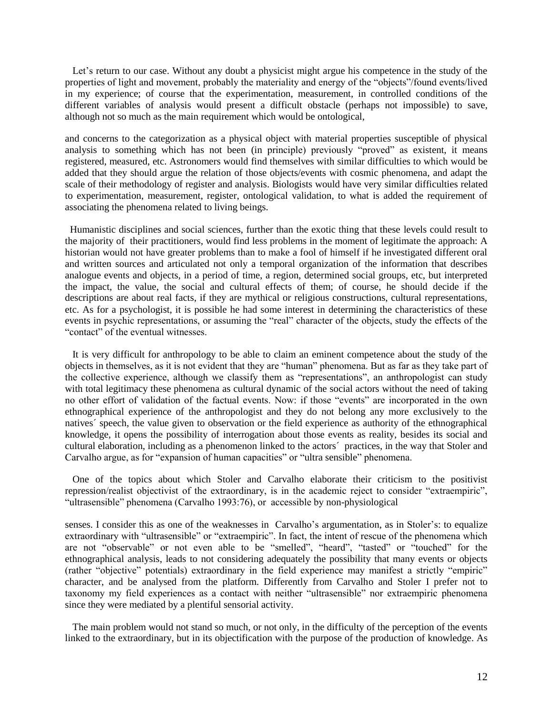Let's return to our case. Without any doubt a physicist might argue his competence in the study of the properties of light and movement, probably the materiality and energy of the "objects"/found events/lived in my experience; of course that the experimentation, measurement, in controlled conditions of the different variables of analysis would present a difficult obstacle (perhaps not impossible) to save, although not so much as the main requirement which would be ontological,

and concerns to the categorization as a physical object with material properties susceptible of physical analysis to something which has not been (in principle) previously "proved" as existent, it means registered, measured, etc. Astronomers would find themselves with similar difficulties to which would be added that they should argue the relation of those objects/events with cosmic phenomena, and adapt the scale of their methodology of register and analysis. Biologists would have very similar difficulties related to experimentation, measurement, register, ontological validation, to what is added the requirement of associating the phenomena related to living beings.

 Humanistic disciplines and social sciences, further than the exotic thing that these levels could result to the majority of their practitioners, would find less problems in the moment of legitimate the approach: A historian would not have greater problems than to make a fool of himself if he investigated different oral and written sources and articulated not only a temporal organization of the information that describes analogue events and objects, in a period of time, a region, determined social groups, etc, but interpreted the impact, the value, the social and cultural effects of them; of course, he should decide if the descriptions are about real facts, if they are mythical or religious constructions, cultural representations, etc. As for a psychologist, it is possible he had some interest in determining the characteristics of these events in psychic representations, or assuming the "real" character of the objects, study the effects of the "contact" of the eventual witnesses.

 It is very difficult for anthropology to be able to claim an eminent competence about the study of the objects in themselves, as it is not evident that they are "human" phenomena. But as far as they take part of the collective experience, although we classify them as "representations", an anthropologist can study with total legitimacy these phenomena as cultural dynamic of the social actors without the need of taking no other effort of validation of the factual events. Now: if those "events" are incorporated in the own ethnographical experience of the anthropologist and they do not belong any more exclusively to the natives´ speech, the value given to observation or the field experience as authority of the ethnographical knowledge, it opens the possibility of interrogation about those events as reality, besides its social and cultural elaboration, including as a phenomenon linked to the actors´ practices, in the way that Stoler and Carvalho argue, as for "expansion of human capacities" or "ultra sensible" phenomena.

 One of the topics about which Stoler and Carvalho elaborate their criticism to the positivist repression/realist objectivist of the extraordinary, is in the academic reject to consider "extraempiric", "ultrasensible" phenomena (Carvalho 1993:76), or accessible by non-physiological

senses. I consider this as one of the weaknesses in Carvalho's argumentation, as in Stoler's: to equalize extraordinary with "ultrasensible" or "extraempiric". In fact, the intent of rescue of the phenomena which are not "observable" or not even able to be "smelled", "heard", "tasted" or "touched" for the ethnographical analysis, leads to not considering adequately the possibility that many events or objects (rather "objective" potentials) extraordinary in the field experience may manifest a strictly "empiric" character, and be analysed from the platform. Differently from Carvalho and Stoler I prefer not to taxonomy my field experiences as a contact with neither "ultrasensible" nor extraempiric phenomena since they were mediated by a plentiful sensorial activity.

 The main problem would not stand so much, or not only, in the difficulty of the perception of the events linked to the extraordinary, but in its objectification with the purpose of the production of knowledge. As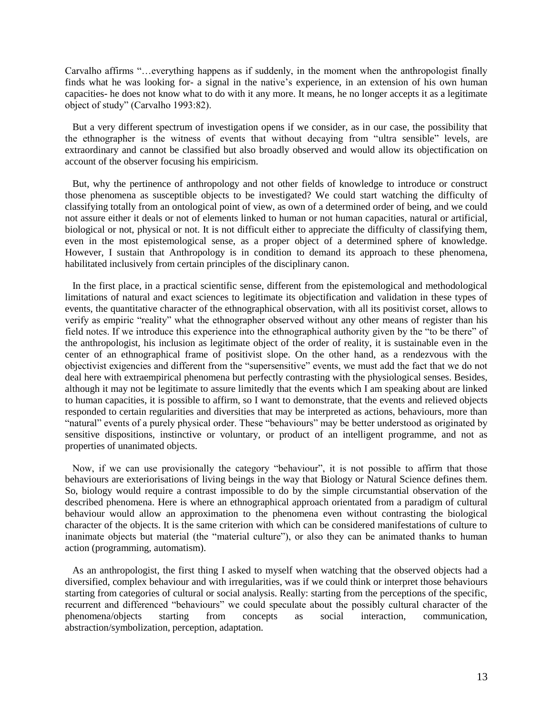Carvalho affirms "...everything happens as if suddenly, in the moment when the anthropologist finally finds what he was looking for- a signal in the native's experience, in an extension of his own human capacities- he does not know what to do with it any more. It means, he no longer accepts it as a legitimate object of study" (Carvalho 1993:82).

 But a very different spectrum of investigation opens if we consider, as in our case, the possibility that the ethnographer is the witness of events that without decaying from "ultra sensible" levels, are extraordinary and cannot be classified but also broadly observed and would allow its objectification on account of the observer focusing his empiricism.

 But, why the pertinence of anthropology and not other fields of knowledge to introduce or construct those phenomena as susceptible objects to be investigated? We could start watching the difficulty of classifying totally from an ontological point of view, as own of a determined order of being, and we could not assure either it deals or not of elements linked to human or not human capacities, natural or artificial, biological or not, physical or not. It is not difficult either to appreciate the difficulty of classifying them, even in the most epistemological sense, as a proper object of a determined sphere of knowledge. However, I sustain that Anthropology is in condition to demand its approach to these phenomena, habilitated inclusively from certain principles of the disciplinary canon.

 In the first place, in a practical scientific sense, different from the epistemological and methodological limitations of natural and exact sciences to legitimate its objectification and validation in these types of events, the quantitative character of the ethnographical observation, with all its positivist corset, allows to verify as empiric "reality" what the ethnographer observed without any other means of register than his field notes. If we introduce this experience into the ethnographical authority given by the "to be there" of the anthropologist, his inclusion as legitimate object of the order of reality, it is sustainable even in the center of an ethnographical frame of positivist slope. On the other hand, as a rendezvous with the objectivist exigencies and different from the "supersensitive" events, we must add the fact that we do not deal here with extraempirical phenomena but perfectly contrasting with the physiological senses. Besides, although it may not be legitimate to assure limitedly that the events which I am speaking about are linked to human capacities, it is possible to affirm, so I want to demonstrate, that the events and relieved objects responded to certain regularities and diversities that may be interpreted as actions, behaviours, more than "natural" events of a purely physical order. These "behaviours" may be better understood as originated by sensitive dispositions, instinctive or voluntary, or product of an intelligent programme, and not as properties of unanimated objects.

Now, if we can use provisionally the category "behaviour", it is not possible to affirm that those behaviours are exteriorisations of living beings in the way that Biology or Natural Science defines them. So, biology would require a contrast impossible to do by the simple circumstantial observation of the described phenomena. Here is where an ethnographical approach orientated from a paradigm of cultural behaviour would allow an approximation to the phenomena even without contrasting the biological character of the objects. It is the same criterion with which can be considered manifestations of culture to inanimate objects but material (the "material culture"), or also they can be animated thanks to human action (programming, automatism).

 As an anthropologist, the first thing I asked to myself when watching that the observed objects had a diversified, complex behaviour and with irregularities, was if we could think or interpret those behaviours starting from categories of cultural or social analysis. Really: starting from the perceptions of the specific, recurrent and differenced "behaviours" we could speculate about the possibly cultural character of the phenomena/objects starting from concepts as social interaction, communication, abstraction/symbolization, perception, adaptation.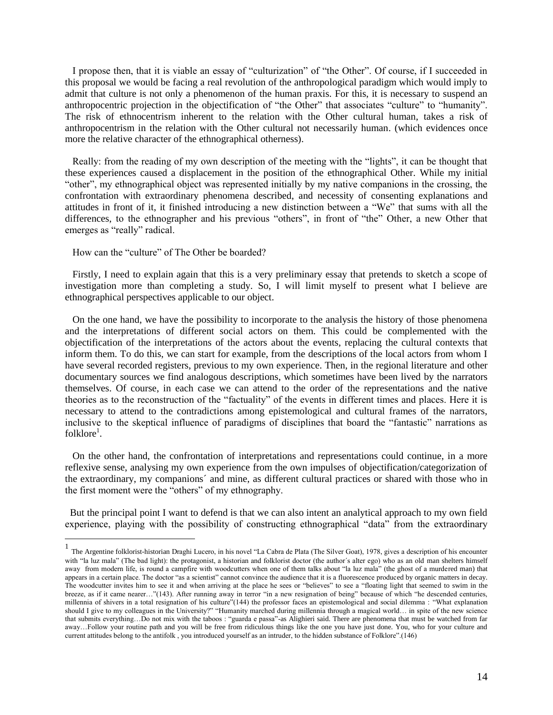I propose then, that it is viable an essay of "culturization" of "the Other". Of course, if I succeeded in this proposal we would be facing a real revolution of the anthropological paradigm which would imply to admit that culture is not only a phenomenon of the human praxis. For this, it is necessary to suspend an anthropocentric projection in the objectification of "the Other" that associates "culture" to "humanity". The risk of ethnocentrism inherent to the relation with the Other cultural human, takes a risk of anthropocentrism in the relation with the Other cultural not necessarily human. (which evidences once more the relative character of the ethnographical otherness).

Really: from the reading of my own description of the meeting with the "lights", it can be thought that these experiences caused a displacement in the position of the ethnographical Other. While my initial "other", my ethnographical object was represented initially by my native companions in the crossing, the confrontation with extraordinary phenomena described, and necessity of consenting explanations and attitudes in front of it, it finished introducing a new distinction between a "We" that sums with all the differences, to the ethnographer and his previous "others", in front of "the" Other, a new Other that emerges as "really" radical.

How can the "culture" of The Other be boarded?

 Firstly, I need to explain again that this is a very preliminary essay that pretends to sketch a scope of investigation more than completing a study. So, I will limit myself to present what I believe are ethnographical perspectives applicable to our object.

 On the one hand, we have the possibility to incorporate to the analysis the history of those phenomena and the interpretations of different social actors on them. This could be complemented with the objectification of the interpretations of the actors about the events, replacing the cultural contexts that inform them. To do this, we can start for example, from the descriptions of the local actors from whom I have several recorded registers, previous to my own experience. Then, in the regional literature and other documentary sources we find analogous descriptions, which sometimes have been lived by the narrators themselves. Of course, in each case we can attend to the order of the representations and the native theories as to the reconstruction of the "factuality" of the events in different times and places. Here it is necessary to attend to the contradictions among epistemological and cultural frames of the narrators, inclusive to the skeptical influence of paradigms of disciplines that board the "fantastic" narrations as folklore<sup>1</sup>.

 On the other hand, the confrontation of interpretations and representations could continue, in a more reflexive sense, analysing my own experience from the own impulses of objectification/categorization of the extraordinary, my companions´ and mine, as different cultural practices or shared with those who in the first moment were the "others" of my ethnography.

 But the principal point I want to defend is that we can also intent an analytical approach to my own field experience, playing with the possibility of constructing ethnographical "data" from the extraordinary

<sup>1&</sup>lt;br>The Argentine folklorist-historian Draghi Lucero, in his novel "La Cabra de Plata (The Silver Goat), 1978, gives a description of his encounter with "la luz mala" (The bad light): the protagonist, a historian and folklorist doctor (the author's alter ego) who as an old man shelters himself away from modern life, is round a campfire with woodcutters when one of them talks about "la luz mala" (the ghost of a murdered man) that appears in a certain place. The doctor "as a scientist" cannot convince the audience that it is a fluorescence produced by organic matters in decay. The woodcutter invites him to see it and when arriving at the place he sees or "believes" to see a "floating light that seemed to swim in the breeze, as if it came nearer…"(143). After running away in terror "in a new resignation of being" because of which "he descended centuries, millennia of shivers in a total resignation of his culture"(144) the professor faces an epistemological and social dilemma : "What explanation should I give to my colleagues in the University?" "Humanity marched during millennia through a magical world… in spite of the new science that submits everything...Do not mix with the taboos : "guarda e passa"-as Alighieri said. There are phenomena that must be watched from far away…Follow your routine path and you will be free from ridiculous things like the one you have just done. You, who for your culture and current attitudes belong to the antifolk, you introduced yourself as an intruder, to the hidden substance of Folklore".(146)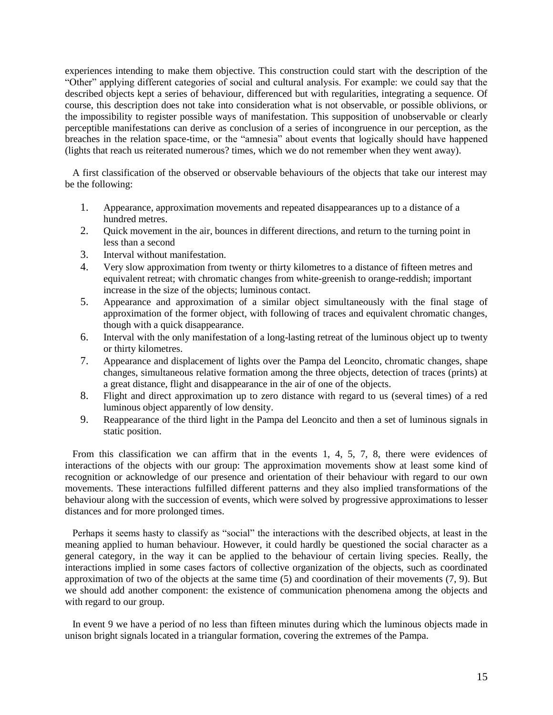experiences intending to make them objective. This construction could start with the description of the ―Other‖ applying different categories of social and cultural analysis. For example: we could say that the described objects kept a series of behaviour, differenced but with regularities, integrating a sequence. Of course, this description does not take into consideration what is not observable, or possible oblivions, or the impossibility to register possible ways of manifestation. This supposition of unobservable or clearly perceptible manifestations can derive as conclusion of a series of incongruence in our perception, as the breaches in the relation space-time, or the "amnesia" about events that logically should have happened (lights that reach us reiterated numerous? times, which we do not remember when they went away).

 A first classification of the observed or observable behaviours of the objects that take our interest may be the following:

- 1. Appearance, approximation movements and repeated disappearances up to a distance of a hundred metres.
- 2. Quick movement in the air, bounces in different directions, and return to the turning point in less than a second
- 3. Interval without manifestation.
- 4. Very slow approximation from twenty or thirty kilometres to a distance of fifteen metres and equivalent retreat; with chromatic changes from white-greenish to orange-reddish; important increase in the size of the objects; luminous contact.
- 5. Appearance and approximation of a similar object simultaneously with the final stage of approximation of the former object, with following of traces and equivalent chromatic changes, though with a quick disappearance.
- 6. Interval with the only manifestation of a long-lasting retreat of the luminous object up to twenty or thirty kilometres.
- 7. Appearance and displacement of lights over the Pampa del Leoncito, chromatic changes, shape changes, simultaneous relative formation among the three objects, detection of traces (prints) at a great distance, flight and disappearance in the air of one of the objects.
- 8. Flight and direct approximation up to zero distance with regard to us (several times) of a red luminous object apparently of low density.
- 9. Reappearance of the third light in the Pampa del Leoncito and then a set of luminous signals in static position.

 From this classification we can affirm that in the events 1, 4, 5, 7, 8, there were evidences of interactions of the objects with our group: The approximation movements show at least some kind of recognition or acknowledge of our presence and orientation of their behaviour with regard to our own movements. These interactions fulfilled different patterns and they also implied transformations of the behaviour along with the succession of events, which were solved by progressive approximations to lesser distances and for more prolonged times.

Perhaps it seems hasty to classify as "social" the interactions with the described objects, at least in the meaning applied to human behaviour. However, it could hardly be questioned the social character as a general category, in the way it can be applied to the behaviour of certain living species. Really, the interactions implied in some cases factors of collective organization of the objects, such as coordinated approximation of two of the objects at the same time (5) and coordination of their movements (7, 9). But we should add another component: the existence of communication phenomena among the objects and with regard to our group.

 In event 9 we have a period of no less than fifteen minutes during which the luminous objects made in unison bright signals located in a triangular formation, covering the extremes of the Pampa.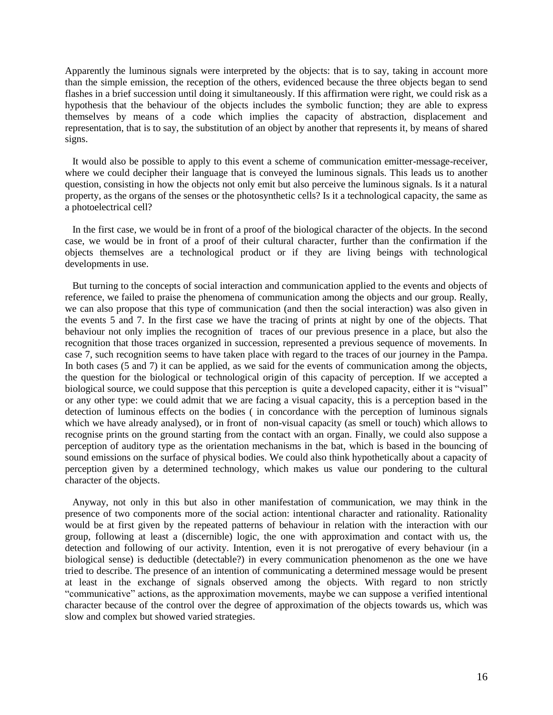Apparently the luminous signals were interpreted by the objects: that is to say, taking in account more than the simple emission, the reception of the others, evidenced because the three objects began to send flashes in a brief succession until doing it simultaneously. If this affirmation were right, we could risk as a hypothesis that the behaviour of the objects includes the symbolic function; they are able to express themselves by means of a code which implies the capacity of abstraction, displacement and representation, that is to say, the substitution of an object by another that represents it, by means of shared signs.

 It would also be possible to apply to this event a scheme of communication emitter-message-receiver, where we could decipher their language that is conveyed the luminous signals. This leads us to another question, consisting in how the objects not only emit but also perceive the luminous signals. Is it a natural property, as the organs of the senses or the photosynthetic cells? Is it a technological capacity, the same as a photoelectrical cell?

 In the first case, we would be in front of a proof of the biological character of the objects. In the second case, we would be in front of a proof of their cultural character, further than the confirmation if the objects themselves are a technological product or if they are living beings with technological developments in use.

 But turning to the concepts of social interaction and communication applied to the events and objects of reference, we failed to praise the phenomena of communication among the objects and our group. Really, we can also propose that this type of communication (and then the social interaction) was also given in the events 5 and 7. In the first case we have the tracing of prints at night by one of the objects. That behaviour not only implies the recognition of traces of our previous presence in a place, but also the recognition that those traces organized in succession, represented a previous sequence of movements. In case 7, such recognition seems to have taken place with regard to the traces of our journey in the Pampa. In both cases (5 and 7) it can be applied, as we said for the events of communication among the objects, the question for the biological or technological origin of this capacity of perception. If we accepted a biological source, we could suppose that this perception is quite a developed capacity, either it is "visual" or any other type: we could admit that we are facing a visual capacity, this is a perception based in the detection of luminous effects on the bodies ( in concordance with the perception of luminous signals which we have already analysed), or in front of non-visual capacity (as smell or touch) which allows to recognise prints on the ground starting from the contact with an organ. Finally, we could also suppose a perception of auditory type as the orientation mechanisms in the bat, which is based in the bouncing of sound emissions on the surface of physical bodies. We could also think hypothetically about a capacity of perception given by a determined technology, which makes us value our pondering to the cultural character of the objects.

 Anyway, not only in this but also in other manifestation of communication, we may think in the presence of two components more of the social action: intentional character and rationality. Rationality would be at first given by the repeated patterns of behaviour in relation with the interaction with our group, following at least a (discernible) logic, the one with approximation and contact with us, the detection and following of our activity. Intention, even it is not prerogative of every behaviour (in a biological sense) is deductible (detectable?) in every communication phenomenon as the one we have tried to describe. The presence of an intention of communicating a determined message would be present at least in the exchange of signals observed among the objects. With regard to non strictly ―communicative‖ actions, as the approximation movements, maybe we can suppose a verified intentional character because of the control over the degree of approximation of the objects towards us, which was slow and complex but showed varied strategies.